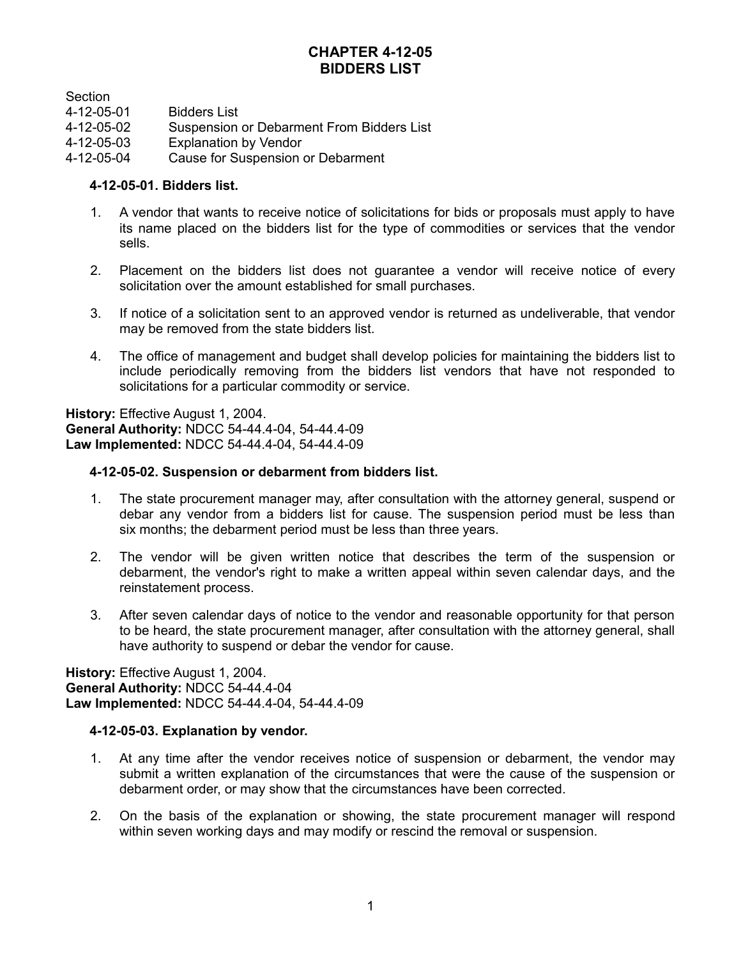# **CHAPTER 4-12-05 BIDDERS LIST**

**Section** 

| 4-12-05-01 | <b>Bidders List</b> |
|------------|---------------------|
|------------|---------------------|

- 4-12-05-02 Suspension or Debarment From Bidders List
- 4-12-05-03 Explanation by Vendor
- 4-12-05-04 Cause for Suspension or Debarment

## **4-12-05-01. Bidders list.**

- 1. A vendor that wants to receive notice of solicitations for bids or proposals must apply to have its name placed on the bidders list for the type of commodities or services that the vendor sells.
- 2. Placement on the bidders list does not guarantee a vendor will receive notice of every solicitation over the amount established for small purchases.
- 3. If notice of a solicitation sent to an approved vendor is returned as undeliverable, that vendor may be removed from the state bidders list.
- 4. The office of management and budget shall develop policies for maintaining the bidders list to include periodically removing from the bidders list vendors that have not responded to solicitations for a particular commodity or service.

**History:** Effective August 1, 2004. **General Authority:** NDCC 54-44.4-04, 54-44.4-09 **Law Implemented:** NDCC 54-44.4-04, 54-44.4-09

## **4-12-05-02. Suspension or debarment from bidders list.**

- 1. The state procurement manager may, after consultation with the attorney general, suspend or debar any vendor from a bidders list for cause. The suspension period must be less than six months; the debarment period must be less than three years.
- 2. The vendor will be given written notice that describes the term of the suspension or debarment, the vendor's right to make a written appeal within seven calendar days, and the reinstatement process.
- 3. After seven calendar days of notice to the vendor and reasonable opportunity for that person to be heard, the state procurement manager, after consultation with the attorney general, shall have authority to suspend or debar the vendor for cause.

**History:** Effective August 1, 2004. **General Authority:** NDCC 54-44.4-04 **Law Implemented:** NDCC 54-44.4-04, 54-44.4-09

## **4-12-05-03. Explanation by vendor.**

- 1. At any time after the vendor receives notice of suspension or debarment, the vendor may submit a written explanation of the circumstances that were the cause of the suspension or debarment order, or may show that the circumstances have been corrected.
- 2. On the basis of the explanation or showing, the state procurement manager will respond within seven working days and may modify or rescind the removal or suspension.